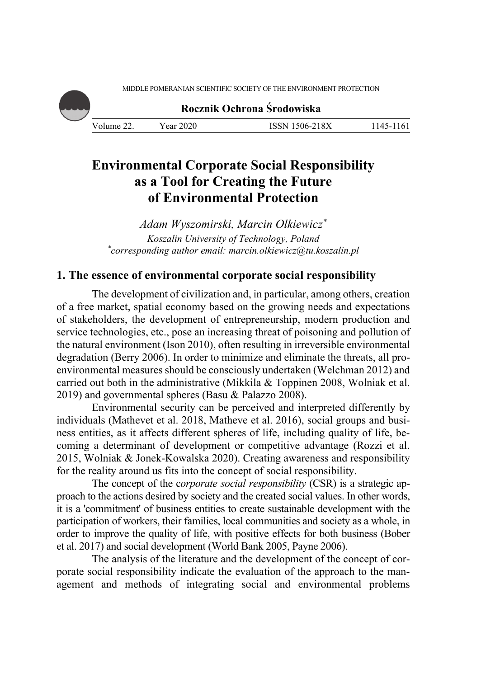MIDDLE POMERANIAN SCIENTIFIC SOCIETY OF THE ENVIRONMENT PROTECTION

**Rocznik Ochrona Środowiska**

Volume 22. Year 2020 ISSN 1506-218X 1145-1161

# **Environmental Corporate Social Responsibility as a Tool for Creating the Future of Environmental Protection**

*Adam Wyszomirski, Marcin Olkiewicz\* Koszalin University of Technology, Poland \* corresponding author email: marcin.olkiewicz@tu.koszalin.pl* 

### **1. The essence of environmental corporate social responsibility**

The development of civilization and, in particular, among others, creation of a free market, spatial economy based on the growing needs and expectations of stakeholders, the development of entrepreneurship, modern production and service technologies, etc., pose an increasing threat of poisoning and pollution of the natural environment (Ison 2010), often resulting in irreversible environmental degradation (Berry 2006). In order to minimize and eliminate the threats, all proenvironmental measures should be consciously undertaken (Welchman 2012) and carried out both in the administrative (Mikkila & Toppinen 2008, Wolniak et al. 2019) and governmental spheres (Basu & Palazzo 2008).

Environmental security can be perceived and interpreted differently by individuals (Mathevet et al. 2018, Matheve et al. 2016), social groups and business entities, as it affects different spheres of life, including quality of life, becoming a determinant of development or competitive advantage (Rozzi et al. 2015, Wolniak & Jonek-Kowalska 2020). Creating awareness and responsibility for the reality around us fits into the concept of social responsibility.

The concept of the c*orporate social responsibility* (CSR) is a strategic approach to the actions desired by society and the created social values. In other words, it is a 'commitment' of business entities to create sustainable development with the participation of workers, their families, local communities and society as a whole, in order to improve the quality of life, with positive effects for both business (Bober et al. 2017) and social development (World Bank 2005, Payne 2006).

The analysis of the literature and the development of the concept of corporate social responsibility indicate the evaluation of the approach to the management and methods of integrating social and environmental problems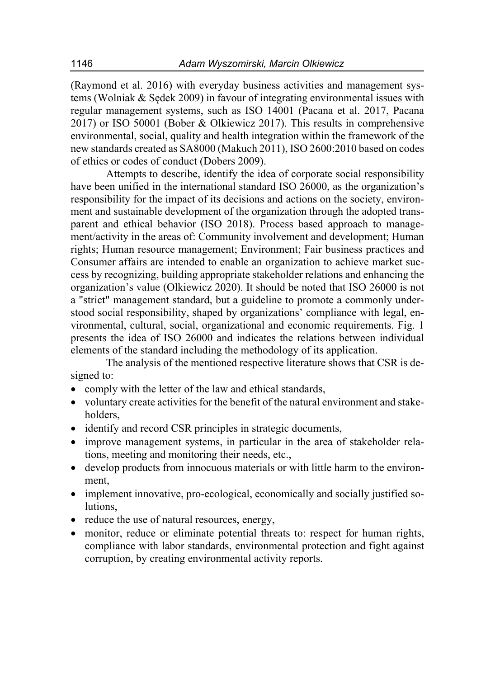(Raymond et al. 2016) with everyday business activities and management systems (Wolniak & Sędek 2009) in favour of integrating environmental issues with regular management systems, such as ISO 14001 (Pacana et al. 2017, Pacana 2017) or ISO 50001 (Bober & Olkiewicz 2017). This results in comprehensive environmental, social, quality and health integration within the framework of the new standards created as SA8000 (Makuch 2011), ISO 2600:2010 based on codes of ethics or codes of conduct (Dobers 2009).

Attempts to describe, identify the idea of corporate social responsibility have been unified in the international standard ISO 26000, as the organization's responsibility for the impact of its decisions and actions on the society, environment and sustainable development of the organization through the adopted transparent and ethical behavior (ISO 2018). Process based approach to management/activity in the areas of: Community involvement and development; Human rights; Human resource management; Environment; Fair business practices and Consumer affairs are intended to enable an organization to achieve market success by recognizing, building appropriate stakeholder relations and enhancing the organization's value (Olkiewicz 2020). It should be noted that ISO 26000 is not a "strict" management standard, but a guideline to promote a commonly understood social responsibility, shaped by organizations' compliance with legal, environmental, cultural, social, organizational and economic requirements. Fig. 1 presents the idea of ISO 26000 and indicates the relations between individual elements of the standard including the methodology of its application.

The analysis of the mentioned respective literature shows that CSR is designed to:

- comply with the letter of the law and ethical standards,
- voluntary create activities for the benefit of the natural environment and stakeholders,
- identify and record CSR principles in strategic documents,
- improve management systems, in particular in the area of stakeholder relations, meeting and monitoring their needs, etc.,
- develop products from innocuous materials or with little harm to the environment,
- implement innovative, pro-ecological, economically and socially justified solutions,
- reduce the use of natural resources, energy,
- monitor, reduce or eliminate potential threats to: respect for human rights, compliance with labor standards, environmental protection and fight against corruption, by creating environmental activity reports.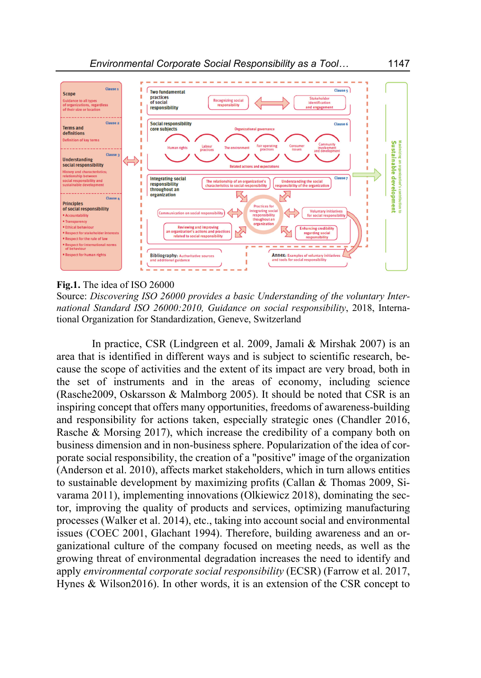

#### **Fig.1.** The idea of ISO 26000

Source: *Discovering ISO 26000 provides a basic Understanding of the voluntary International Standard ISO 26000:2010, Guidance on social responsibility*, 2018, International Organization for Standardization, Geneve, Switzerland

In practice, CSR (Lindgreen et al. 2009, Jamali & Mirshak 2007) is an area that is identified in different ways and is subject to scientific research, because the scope of activities and the extent of its impact are very broad, both in the set of instruments and in the areas of economy, including science (Rasche2009, Oskarsson & Malmborg 2005). It should be noted that CSR is an inspiring concept that offers many opportunities, freedoms of awareness-building and responsibility for actions taken, especially strategic ones (Chandler 2016, Rasche & Morsing 2017), which increase the credibility of a company both on business dimension and in non-business sphere. Popularization of the idea of corporate social responsibility, the creation of a "positive" image of the organization (Anderson et al. 2010), affects market stakeholders, which in turn allows entities to sustainable development by maximizing profits (Callan & Thomas 2009, Sivarama 2011), implementing innovations (Olkiewicz 2018), dominating the sector, improving the quality of products and services, optimizing manufacturing processes (Walker et al. 2014), etc., taking into account social and environmental issues (COEC 2001, Glachant 1994). Therefore, building awareness and an organizational culture of the company focused on meeting needs, as well as the growing threat of environmental degradation increases the need to identify and apply *environmental corporate social responsibility* (ECSR) (Farrow et al. 2017, Hynes & Wilson2016). In other words, it is an extension of the CSR concept to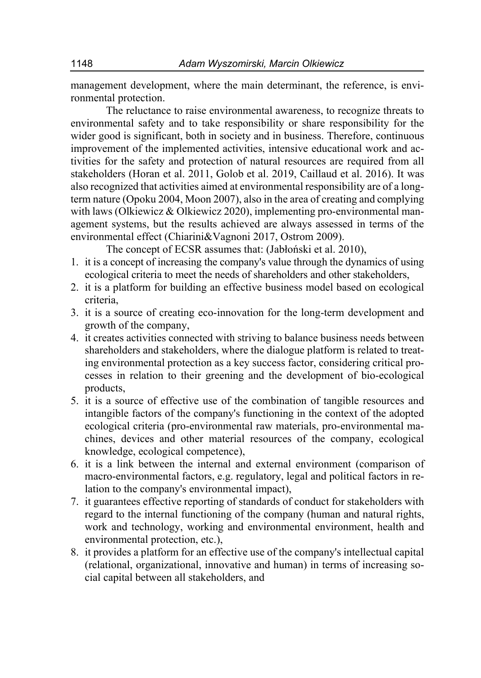management development, where the main determinant, the reference, is environmental protection.

The reluctance to raise environmental awareness, to recognize threats to environmental safety and to take responsibility or share responsibility for the wider good is significant, both in society and in business. Therefore, continuous improvement of the implemented activities, intensive educational work and activities for the safety and protection of natural resources are required from all stakeholders (Horan et al. 2011, Golob et al. 2019, Caillaud et al. 2016). It was also recognized that activities aimed at environmental responsibility are of a longterm nature (Opoku 2004, Moon 2007), also in the area of creating and complying with laws (Olkiewicz & Olkiewicz 2020), implementing pro-environmental management systems, but the results achieved are always assessed in terms of the environmental effect (Chiarini&Vagnoni 2017, Ostrom 2009).

The concept of ECSR assumes that: (Jabłoński et al. 2010),

- 1. it is a concept of increasing the company's value through the dynamics of using ecological criteria to meet the needs of shareholders and other stakeholders,
- 2. it is a platform for building an effective business model based on ecological criteria,
- 3. it is a source of creating eco-innovation for the long-term development and growth of the company,
- 4. it creates activities connected with striving to balance business needs between shareholders and stakeholders, where the dialogue platform is related to treating environmental protection as a key success factor, considering critical processes in relation to their greening and the development of bio-ecological products,
- 5. it is a source of effective use of the combination of tangible resources and intangible factors of the company's functioning in the context of the adopted ecological criteria (pro-environmental raw materials, pro-environmental machines, devices and other material resources of the company, ecological knowledge, ecological competence),
- 6. it is a link between the internal and external environment (comparison of macro-environmental factors, e.g. regulatory, legal and political factors in relation to the company's environmental impact),
- 7. it guarantees effective reporting of standards of conduct for stakeholders with regard to the internal functioning of the company (human and natural rights, work and technology, working and environmental environment, health and environmental protection, etc.),
- 8. it provides a platform for an effective use of the company's intellectual capital (relational, organizational, innovative and human) in terms of increasing social capital between all stakeholders, and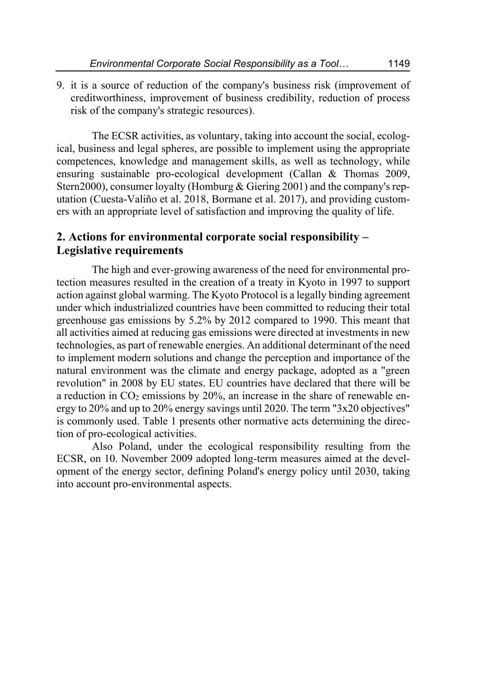9. it is a source of reduction of the company's business risk (improvement of creditworthiness, improvement of business credibility, reduction of process risk of the company's strategic resources).

The ECSR activities, as voluntary, taking into account the social, ecological, business and legal spheres, are possible to implement using the appropriate competences, knowledge and management skills, as well as technology, while ensuring sustainable pro-ecological development (Callan & Thomas 2009, Stern2000), consumer loyalty (Homburg & Giering 2001) and the company's reputation (Cuesta-Valiño et al. 2018, Bormane et al. 2017), and providing customers with an appropriate level of satisfaction and improving the quality of life.

### **2. Actions for environmental corporate social responsibility – Legislative requirements**

The high and ever-growing awareness of the need for environmental protection measures resulted in the creation of a treaty in Kyoto in 1997 to support action against global warming. The Kyoto Protocol is a legally binding agreement under which industrialized countries have been committed to reducing their total greenhouse gas emissions by 5.2% by 2012 compared to 1990. This meant that all activities aimed at reducing gas emissions were directed at investments in new technologies, as part of renewable energies. An additional determinant of the need to implement modern solutions and change the perception and importance of the natural environment was the climate and energy package, adopted as a "green revolution" in 2008 by EU states. EU countries have declared that there will be a reduction in  $CO<sub>2</sub>$  emissions by 20%, an increase in the share of renewable energy to 20% and up to 20% energy savings until 2020. The term "3x20 objectives" is commonly used. Table 1 presents other normative acts determining the direction of pro-ecological activities.

Also Poland, under the ecological responsibility resulting from the ECSR, on 10. November 2009 adopted long-term measures aimed at the development of the energy sector, defining Poland's energy policy until 2030, taking into account pro-environmental aspects.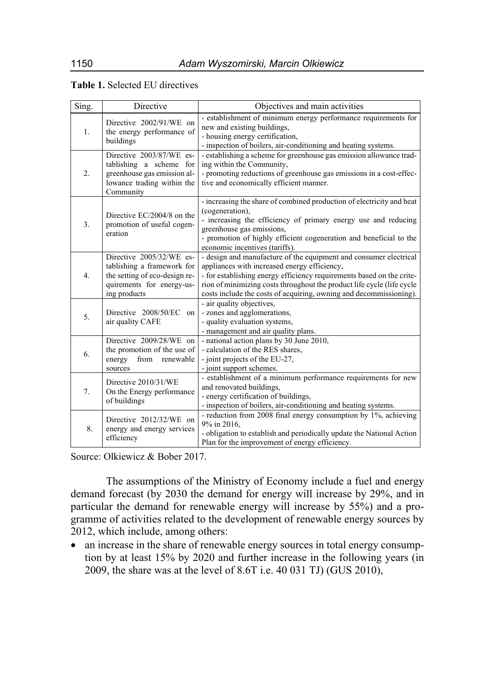|  | Table 1. Selected EU directives |  |
|--|---------------------------------|--|
|--|---------------------------------|--|

| Sing.            | Directive                                                                                                                            | Objectives and main activities                                                                                                                                                                                                                                                                                                             |
|------------------|--------------------------------------------------------------------------------------------------------------------------------------|--------------------------------------------------------------------------------------------------------------------------------------------------------------------------------------------------------------------------------------------------------------------------------------------------------------------------------------------|
| 1.               | Directive 2002/91/WE on<br>the energy performance of<br>buildings                                                                    | - establishment of minimum energy performance requirements for<br>new and existing buildings,<br>- housing energy certification,<br>- inspection of boilers, air-conditioning and heating systems.                                                                                                                                         |
| $\overline{2}$ . | Directive 2003/87/WE es-<br>tablishing a scheme for<br>greenhouse gas emission al-<br>lowance trading within the<br>Community        | - establishing a scheme for greenhouse gas emission allowance trad-<br>ing within the Community,<br>- promoting reductions of greenhouse gas emissions in a cost-effec-<br>tive and economically efficient manner.                                                                                                                         |
| 3.               | Directive EC/2004/8 on the<br>promotion of useful cogen-<br>eration                                                                  | - increasing the share of combined production of electricity and heat<br>(cogeneration),<br>- increasing the efficiency of primary energy use and reducing<br>greenhouse gas emissions,<br>- promotion of highly efficient cogeneration and beneficial to the<br>economic incentives (tariffs).                                            |
| 4.               | Directive 2005/32/WE es-<br>tablishing a framework for<br>the setting of eco-design re-<br>quirements for energy-us-<br>ing products | - design and manufacture of the equipment and consumer electrical<br>appliances with increased energy efficiency,<br>- for establishing energy efficiency requirements based on the crite-<br>rion of minimizing costs throughout the product life cycle (life cycle<br>costs include the costs of acquiring, owning and decommissioning). |
| 5.               | Directive 2008/50/EC<br>on<br>air quality CAFE                                                                                       | - air quality objectives,<br>- zones and agglomerations,<br>- quality evaluation systems,<br>- management and air quality plans.                                                                                                                                                                                                           |
| 6.               | Directive 2009/28/WE on<br>the promotion of the use of<br>from renewable<br>energy<br>sources                                        | - national action plans by 30 June 2010,<br>- calculation of the RES shares,<br>- joint projects of the EU-27,<br>- joint support schemes.                                                                                                                                                                                                 |
| 7.               | Directive 2010/31/WE<br>On the Energy performance<br>of buildings                                                                    | - establishment of a minimum performance requirements for new<br>and renovated buildings,<br>- energy certification of buildings,<br>- inspection of boilers, air-conditioning and heating systems.                                                                                                                                        |
| 8.               | Directive 2012/32/WE on<br>energy and energy services<br>efficiency                                                                  | - reduction from 2008 final energy consumption by 1%, achieving<br>9% in 2016,<br>- obligation to establish and periodically update the National Action<br>Plan for the improvement of energy efficiency.                                                                                                                                  |

Source: Olkiewicz & Bober 2017.

The assumptions of the Ministry of Economy include a fuel and energy demand forecast (by 2030 the demand for energy will increase by 29%, and in particular the demand for renewable energy will increase by 55%) and a programme of activities related to the development of renewable energy sources by 2012, which include, among others:

 an increase in the share of renewable energy sources in total energy consumption by at least 15% by 2020 and further increase in the following years (in 2009, the share was at the level of 8.6T i.e. 40 031 TJ) (GUS 2010),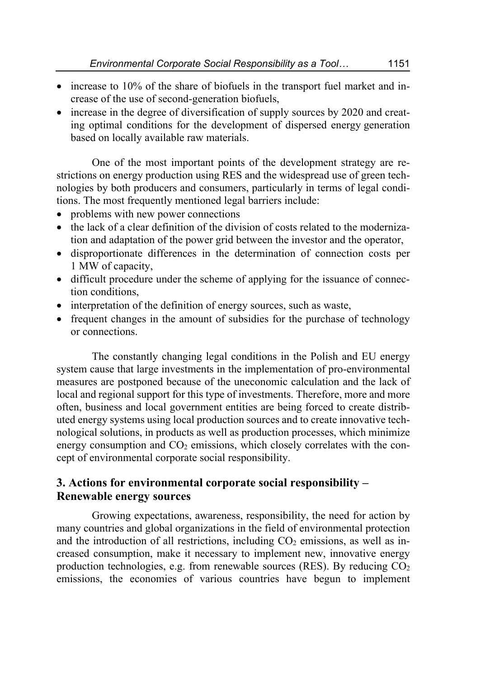- increase to 10% of the share of biofuels in the transport fuel market and increase of the use of second-generation biofuels,
- increase in the degree of diversification of supply sources by 2020 and creating optimal conditions for the development of dispersed energy generation based on locally available raw materials.

One of the most important points of the development strategy are restrictions on energy production using RES and the widespread use of green technologies by both producers and consumers, particularly in terms of legal conditions. The most frequently mentioned legal barriers include:

- problems with new power connections
- $\bullet$  the lack of a clear definition of the division of costs related to the modernization and adaptation of the power grid between the investor and the operator,
- disproportionate differences in the determination of connection costs per 1 MW of capacity,
- difficult procedure under the scheme of applying for the issuance of connection conditions,
- interpretation of the definition of energy sources, such as waste,
- frequent changes in the amount of subsidies for the purchase of technology or connections.

The constantly changing legal conditions in the Polish and EU energy system cause that large investments in the implementation of pro-environmental measures are postponed because of the uneconomic calculation and the lack of local and regional support for this type of investments. Therefore, more and more often, business and local government entities are being forced to create distributed energy systems using local production sources and to create innovative technological solutions, in products as well as production processes, which minimize energy consumption and  $CO<sub>2</sub>$  emissions, which closely correlates with the concept of environmental corporate social responsibility.

## **3. Actions for environmental corporate social responsibility – Renewable energy sources**

Growing expectations, awareness, responsibility, the need for action by many countries and global organizations in the field of environmental protection and the introduction of all restrictions, including  $CO<sub>2</sub>$  emissions, as well as increased consumption, make it necessary to implement new, innovative energy production technologies, e.g. from renewable sources (RES). By reducing  $CO<sub>2</sub>$ emissions, the economies of various countries have begun to implement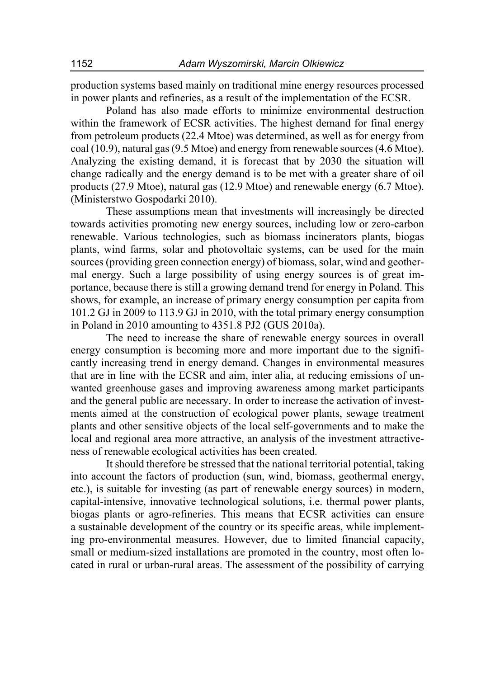production systems based mainly on traditional mine energy resources processed in power plants and refineries, as a result of the implementation of the ECSR.

Poland has also made efforts to minimize environmental destruction within the framework of ECSR activities. The highest demand for final energy from petroleum products (22.4 Mtoe) was determined, as well as for energy from coal (10.9), natural gas (9.5 Mtoe) and energy from renewable sources (4.6 Mtoe). Analyzing the existing demand, it is forecast that by 2030 the situation will change radically and the energy demand is to be met with a greater share of oil products (27.9 Mtoe), natural gas (12.9 Mtoe) and renewable energy (6.7 Mtoe). (Ministerstwo Gospodarki 2010).

These assumptions mean that investments will increasingly be directed towards activities promoting new energy sources, including low or zero-carbon renewable. Various technologies, such as biomass incinerators plants, biogas plants, wind farms, solar and photovoltaic systems, can be used for the main sources (providing green connection energy) of biomass, solar, wind and geothermal energy. Such a large possibility of using energy sources is of great importance, because there is still a growing demand trend for energy in Poland. This shows, for example, an increase of primary energy consumption per capita from 101.2 GJ in 2009 to 113.9 GJ in 2010, with the total primary energy consumption in Poland in 2010 amounting to 4351.8 PJ2 (GUS 2010a).

The need to increase the share of renewable energy sources in overall energy consumption is becoming more and more important due to the significantly increasing trend in energy demand. Changes in environmental measures that are in line with the ECSR and aim, inter alia, at reducing emissions of unwanted greenhouse gases and improving awareness among market participants and the general public are necessary. In order to increase the activation of investments aimed at the construction of ecological power plants, sewage treatment plants and other sensitive objects of the local self-governments and to make the local and regional area more attractive, an analysis of the investment attractiveness of renewable ecological activities has been created.

It should therefore be stressed that the national territorial potential, taking into account the factors of production (sun, wind, biomass, geothermal energy, etc.), is suitable for investing (as part of renewable energy sources) in modern, capital-intensive, innovative technological solutions, i.e. thermal power plants, biogas plants or agro-refineries. This means that ECSR activities can ensure a sustainable development of the country or its specific areas, while implementing pro-environmental measures. However, due to limited financial capacity, small or medium-sized installations are promoted in the country, most often located in rural or urban-rural areas. The assessment of the possibility of carrying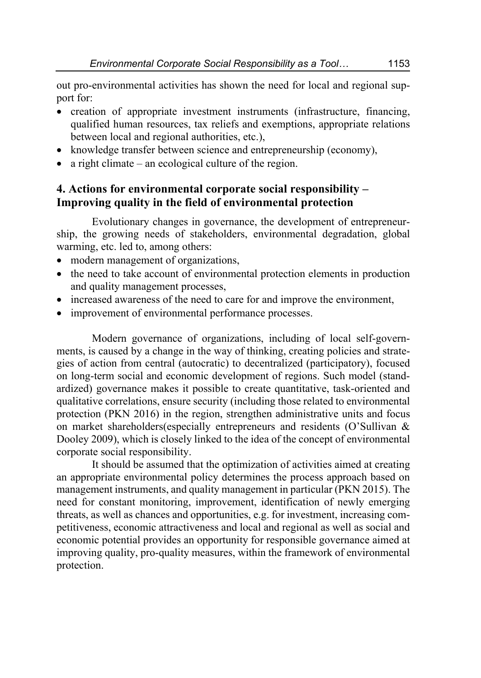out pro-environmental activities has shown the need for local and regional support for:

- creation of appropriate investment instruments (infrastructure, financing, qualified human resources, tax reliefs and exemptions, appropriate relations between local and regional authorities, etc.),
- knowledge transfer between science and entrepreneurship (economy),
- $\bullet$  a right climate an ecological culture of the region.

## **4. Actions for environmental corporate social responsibility – Improving quality in the field of environmental protection**

Evolutionary changes in governance, the development of entrepreneurship, the growing needs of stakeholders, environmental degradation, global warming, etc. led to, among others:

- modern management of organizations,
- the need to take account of environmental protection elements in production and quality management processes,
- increased awareness of the need to care for and improve the environment,
- improvement of environmental performance processes.

Modern governance of organizations, including of local self-governments, is caused by a change in the way of thinking, creating policies and strategies of action from central (autocratic) to decentralized (participatory), focused on long-term social and economic development of regions. Such model (standardized) governance makes it possible to create quantitative, task-oriented and qualitative correlations, ensure security (including those related to environmental protection (PKN 2016) in the region, strengthen administrative units and focus on market shareholders(especially entrepreneurs and residents (O'Sullivan & Dooley 2009), which is closely linked to the idea of the concept of environmental corporate social responsibility.

It should be assumed that the optimization of activities aimed at creating an appropriate environmental policy determines the process approach based on management instruments, and quality management in particular (PKN 2015). The need for constant monitoring, improvement, identification of newly emerging threats, as well as chances and opportunities, e.g. for investment, increasing competitiveness, economic attractiveness and local and regional as well as social and economic potential provides an opportunity for responsible governance aimed at improving quality, pro-quality measures, within the framework of environmental protection.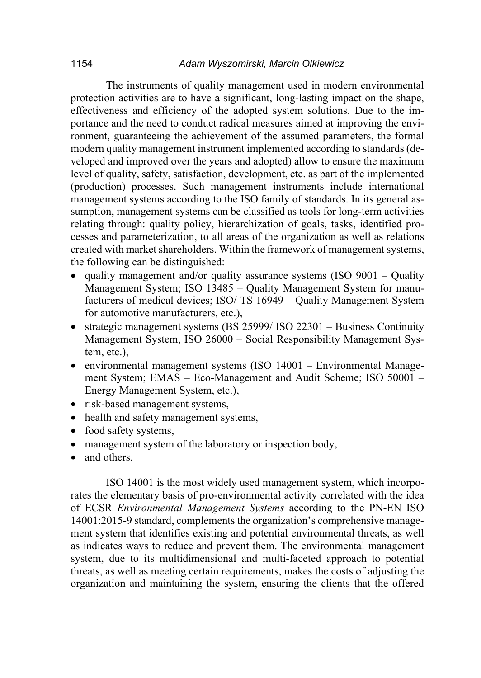The instruments of quality management used in modern environmental protection activities are to have a significant, long-lasting impact on the shape, effectiveness and efficiency of the adopted system solutions. Due to the importance and the need to conduct radical measures aimed at improving the environment, guaranteeing the achievement of the assumed parameters, the formal modern quality management instrument implemented according to standards (developed and improved over the years and adopted) allow to ensure the maximum level of quality, safety, satisfaction, development, etc. as part of the implemented (production) processes. Such management instruments include international management systems according to the ISO family of standards. In its general assumption, management systems can be classified as tools for long-term activities relating through: quality policy, hierarchization of goals, tasks, identified processes and parameterization, to all areas of the organization as well as relations created with market shareholders. Within the framework of management systems, the following can be distinguished:

- quality management and/or quality assurance systems (ISO  $9001 -$  Quality Management System; ISO 13485 – Quality Management System for manufacturers of medical devices; ISO/ TS 16949 – Quality Management System for automotive manufacturers, etc.),
- strategic management systems (BS 25999/ ISO 22301 Business Continuity Management System, ISO 26000 – Social Responsibility Management System, etc.),
- environmental management systems (ISO 14001 Environmental Management System; EMAS – Eco-Management and Audit Scheme; ISO 50001 – Energy Management System, etc.),
- risk-based management systems,
- health and safety management systems,
- food safety systems,
- management system of the laboratory or inspection body,
- and others.

ISO 14001 is the most widely used management system, which incorporates the elementary basis of pro-environmental activity correlated with the idea of ECSR *Environmental Management Systems* according to the PN-EN ISO 14001:2015-9 standard, complements the organization's comprehensive management system that identifies existing and potential environmental threats, as well as indicates ways to reduce and prevent them. The environmental management system, due to its multidimensional and multi-faceted approach to potential threats, as well as meeting certain requirements, makes the costs of adjusting the organization and maintaining the system, ensuring the clients that the offered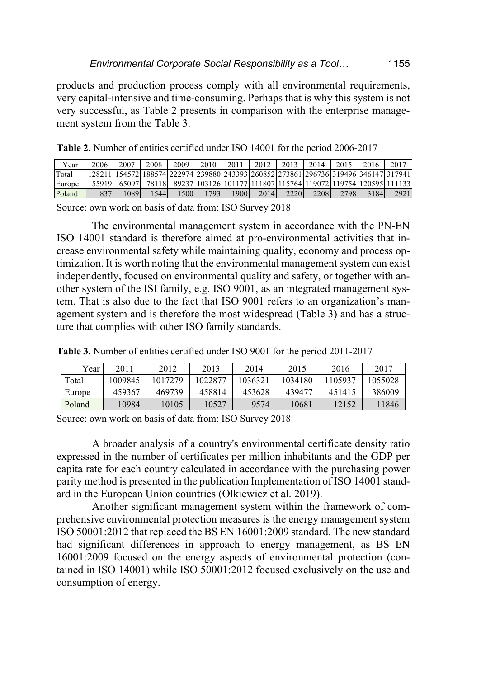products and production process comply with all environmental requirements, very capital-intensive and time-consuming. Perhaps that is why this system is not very successful, as Table 2 presents in comparison with the enterprise management system from the Table 3.

|  |  | <b>Table 2.</b> Number of entities certified under ISO 14001 for the period 2006-2017 |
|--|--|---------------------------------------------------------------------------------------|
|  |  |                                                                                       |

| Year   | 2006  | 2007   | 2008 | 2009 | 2010  | 2011 | 2012 | 2013 | 2014 | 2015 | 2016 | 2017                                                                                   |
|--------|-------|--------|------|------|-------|------|------|------|------|------|------|----------------------------------------------------------------------------------------|
| Total  |       |        |      |      |       |      |      |      |      |      |      | [128211] 154572 188574 222974 239880 243393 260852 27386 1 296736 319496 346147 317941 |
| Europe | 55919 | 650971 |      |      |       |      |      |      |      |      |      | 78118 89237 103126 101177 111807 115764 119072 119754 120595 111133                    |
| Poland | 837   | 089    | 5441 | 1500 | 17931 | 1900 | 2014 | 2220 | 2208 | 2798 | 3184 | 2921                                                                                   |

Source: own work on basis of data from: ISO Survey 2018

The environmental management system in accordance with the PN-EN ISO 14001 standard is therefore aimed at pro-environmental activities that increase environmental safety while maintaining quality, economy and process optimization. It is worth noting that the environmental management system can exist independently, focused on environmental quality and safety, or together with another system of the ISI family, e.g. ISO 9001, as an integrated management system. That is also due to the fact that ISO 9001 refers to an organization's management system and is therefore the most widespread (Table 3) and has a structure that complies with other ISO family standards.

**Table 3.** Number of entities certified under ISO 9001 for the period 2011-2017

| Year   | 2011    | 2012   | 2013    | 2014    | 2015    | 2016    | 2017    |
|--------|---------|--------|---------|---------|---------|---------|---------|
| Total  | 1009845 | 017279 | 1022877 | 1036321 | 1034180 | 1105937 | 1055028 |
| Europe | 459367  | 469739 | 458814  | 453628  | 439477  | 451415  | 386009  |
| Poland | 0984    | 10105  | 10527   | 9574    | 10681   | 12152   | 11846   |

Source: own work on basis of data from: ISO Survey 2018

A broader analysis of a country's environmental certificate density ratio expressed in the number of certificates per million inhabitants and the GDP per capita rate for each country calculated in accordance with the purchasing power parity method is presented in the publication Implementation of ISO 14001 standard in the European Union countries (Olkiewicz et al. 2019).

Another significant management system within the framework of comprehensive environmental protection measures is the energy management system ISO 50001:2012 that replaced the BS EN 16001:2009 standard. The new standard had significant differences in approach to energy management, as BS EN 16001:2009 focused on the energy aspects of environmental protection (contained in ISO 14001) while ISO 50001:2012 focused exclusively on the use and consumption of energy.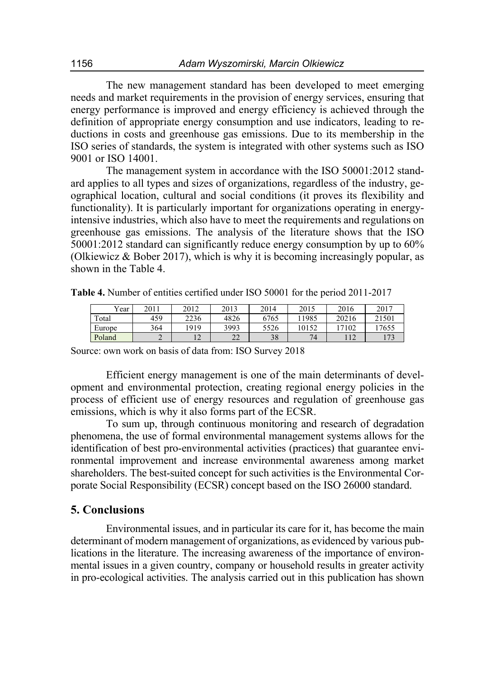The new management standard has been developed to meet emerging needs and market requirements in the provision of energy services, ensuring that energy performance is improved and energy efficiency is achieved through the definition of appropriate energy consumption and use indicators, leading to reductions in costs and greenhouse gas emissions. Due to its membership in the ISO series of standards, the system is integrated with other systems such as ISO 9001 or ISO 14001.

The management system in accordance with the ISO 50001:2012 standard applies to all types and sizes of organizations, regardless of the industry, geographical location, cultural and social conditions (it proves its flexibility and functionality). It is particularly important for organizations operating in energyintensive industries, which also have to meet the requirements and regulations on greenhouse gas emissions. The analysis of the literature shows that the ISO 50001:2012 standard can significantly reduce energy consumption by up to 60% (Olkiewicz & Bober 2017), which is why it is becoming increasingly popular, as shown in the Table 4.

**Table 4.** Number of entities certified under ISO 50001 for the period 2011-2017

| Vear.  | 2011 | 2012           | 2013                | 2014 | 2015  | 2016  | 2017  |
|--------|------|----------------|---------------------|------|-------|-------|-------|
| Total  | 459  | 2236           | 4826                | 6765 | 11985 | 20216 | 21501 |
| Europe | 364  | 1919           | 3993                | 5526 | 10152 | 17102 | 7655  |
| Poland | ∸    | $\overline{1}$ | $\mathcal{L}$<br>∠∠ | 38   | 74    | 112   |       |

Source: own work on basis of data from: ISO Survey 2018

Efficient energy management is one of the main determinants of development and environmental protection, creating regional energy policies in the process of efficient use of energy resources and regulation of greenhouse gas emissions, which is why it also forms part of the ECSR.

To sum up, through continuous monitoring and research of degradation phenomena, the use of formal environmental management systems allows for the identification of best pro-environmental activities (practices) that guarantee environmental improvement and increase environmental awareness among market shareholders. The best-suited concept for such activities is the Environmental Corporate Social Responsibility (ECSR) concept based on the ISO 26000 standard.

### **5. Conclusions**

Environmental issues, and in particular its care for it, has become the main determinant of modern management of organizations, as evidenced by various publications in the literature. The increasing awareness of the importance of environmental issues in a given country, company or household results in greater activity in pro-ecological activities. The analysis carried out in this publication has shown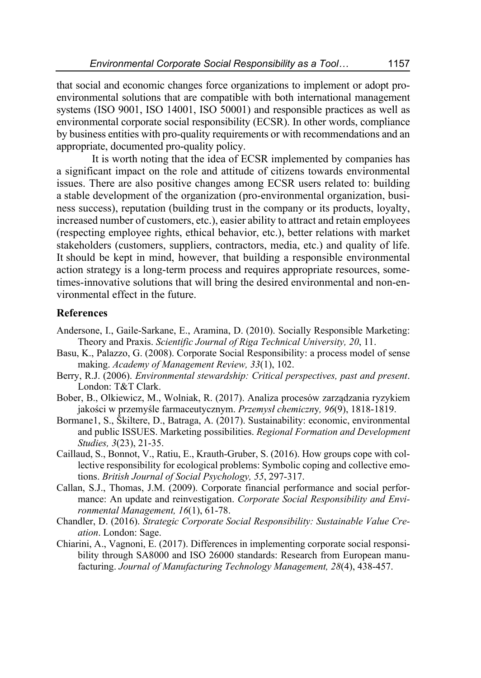that social and economic changes force organizations to implement or adopt proenvironmental solutions that are compatible with both international management systems (ISO 9001, ISO 14001, ISO 50001) and responsible practices as well as environmental corporate social responsibility (ECSR). In other words, compliance by business entities with pro-quality requirements or with recommendations and an appropriate, documented pro-quality policy.

It is worth noting that the idea of ECSR implemented by companies has a significant impact on the role and attitude of citizens towards environmental issues. There are also positive changes among ECSR users related to: building a stable development of the organization (pro-environmental organization, business success), reputation (building trust in the company or its products, loyalty, increased number of customers, etc.), easier ability to attract and retain employees (respecting employee rights, ethical behavior, etc.), better relations with market stakeholders (customers, suppliers, contractors, media, etc.) and quality of life. It should be kept in mind, however, that building a responsible environmental action strategy is a long-term process and requires appropriate resources, sometimes-innovative solutions that will bring the desired environmental and non-environmental effect in the future.

### **References**

- Andersone, I., Gaile-Sarkane, E., Aramina, D. (2010). Socially Responsible Marketing: Theory and Praxis. *Scientific Journal of Riga Technical University, 20*, 11.
- Basu, K., Palazzo, G. (2008). Corporate Social Responsibility: a process model of sense making. *Academy of Management Review, 33*(1), 102.
- Berry, R.J. (2006). *Environmental stewardship: Critical perspectives, past and present*. London: T&T Clark.
- Bober, B., Olkiewicz, M., Wolniak, R. (2017). Analiza procesów zarządzania ryzykiem jakości w przemyśle farmaceutycznym. *Przemysł chemiczn*y*, 96*(9), 1818-1819.
- Bormane1, S., Škiltere, D., Batraga, A. (2017). Sustainability: economic, environmental and public ISSUES. Marketing possibilities. *Regional Formation and Development Studies, 3*(23), 21-35.
- Caillaud, S., Bonnot, V., Ratiu, E., Krauth-Gruber, S. (2016). How groups cope with collective responsibility for ecological problems: Symbolic coping and collective emotions. *British Journal of Social Psychology, 55*, 297-317.
- Callan, S.J., Thomas, J.M. (2009). Corporate financial performance and social performance: An update and reinvestigation. *Corporate Social Responsibility and Environmental Management, 16*(1), 61-78.
- Chandler, D. (2016). *Strategic Corporate Social Responsibility: Sustainable Value Creation*. London: Sage.
- Chiarini, A., Vagnoni, E. (2017). Differences in implementing corporate social responsibility through SA8000 and ISO 26000 standards: Research from European manufacturing. *Journal of Manufacturing Technology Management, 28*(4), 438-457.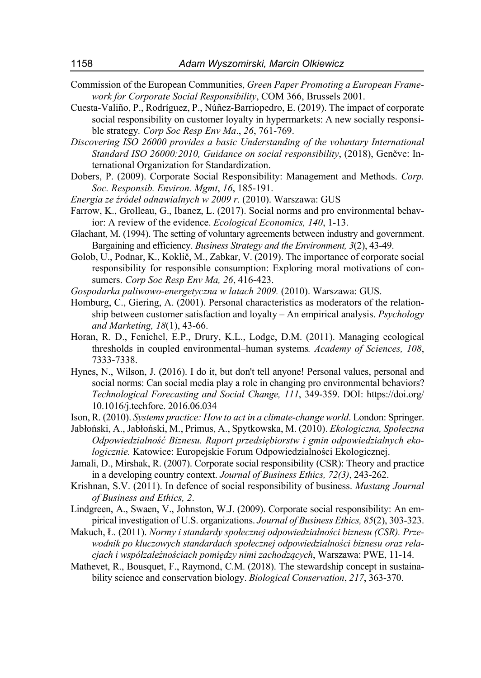- Commission of the European Communities, *Green Paper Promoting a European Framework for Corporate Social Responsibility*, COM 366, Brussels 2001.
- Cuesta-Valiño, P., Rodríguez, P., Núñez-Barriopedro, E. (2019). The impact of corporate social responsibility on customer loyalty in hypermarkets: A new socially responsible strategy*. Corp Soc Resp Env Ma*., *26*, 761-769.
- *Discovering ISO 26000 provides a basic Understanding of the voluntary International Standard ISO 26000:2010, Guidance on social responsibility*, (2018), Genčve: International Organization for Standardization.
- Dobers, P. (2009). Corporate Social Responsibility: Management and Methods. *Corp. Soc. Responsib. Environ. Mgmt*, *16*, 185-191.
- *Energia ze źródeł odnawialnych w 2009 r*. (2010). Warszawa: GUS
- Farrow, K., Grolleau, G., Ibanez, L. (2017). Social norms and pro environmental behavior: A review of the evidence. *Ecological Economics, 140*, 1-13.
- Glachant, M. (1994). The setting of voluntary agreements between industry and government. Bargaining and efficiency. *Business Strategy and the Environment, 3*(2), 43-49.
- Golob, U., Podnar, K., Koklič, M., Zabkar, V. (2019). The importance of corporate social responsibility for responsible consumption: Exploring moral motivations of consumers. *Corp Soc Resp Env Ma, 26*, 416-423.
- *Gospodarka paliwowo-energetyczna w latach 2009.* (2010). Warszawa: GUS.
- Homburg, C., Giering, A. (2001). Personal characteristics as moderators of the relationship between customer satisfaction and loyalty – An empirical analysis. *Psychology and Marketing, 18*(1), 43-66.
- Horan, R. D., Fenichel, E.P., Drury, K.L., Lodge, D.M. (2011). Managing ecological thresholds in coupled environmental–human systems*. Academy of Sciences, 108*, 7333-7338.
- Hynes, N., Wilson, J. (2016). I do it, but don't tell anyone! Personal values, personal and social norms: Can social media play a role in changing pro environmental behaviors? *Technological Forecasting and Social Change, 111*, 349-359. DOI: https://doi.org/ 10.1016/j.techfore. 2016.06.034
- Ison, R. (2010). *Systems practice: How to act in a climate-change world*. London: Springer.
- Jabłoński, A., Jabłoński, M., Primus, A., Spytkowska, M. (2010). *Ekologiczna, Społeczna Odpowiedzialność Biznesu. Raport przedsiębiorstw i gmin odpowiedzialnych ekologicznie.* Katowice: Europejskie Forum Odpowiedzialności Ekologicznej.
- Jamali, D., Mirshak, R. (2007). Corporate social responsibility (CSR): Theory and practice in a developing country context. *Journal of Business Ethics, 72(3)*, 243-262.
- Krishnan, S.V. (2011). In defence of social responsibility of business. *Mustang Journal of Business and Ethics, 2*.
- Lindgreen, A., Swaen, V., Johnston, W.J. (2009). Corporate social responsibility: An empirical investigation of U.S. organizations. *Journal of Business Ethics, 85*(2), 303-323.
- Makuch, Ł. (2011). *Normy i standardy społecznej odpowiedzialności biznesu (CSR). Przewodnik po kluczowych standardach społecznej odpowiedzialności biznesu oraz relacjach i współzależnościach pomiędzy nimi zachodzących*, Warszawa: PWE, 11-14.
- Mathevet, R., Bousquet, F., Raymond, C.M. (2018). The stewardship concept in sustainability science and conservation biology. *Biological Conservation*, *217*, 363-370.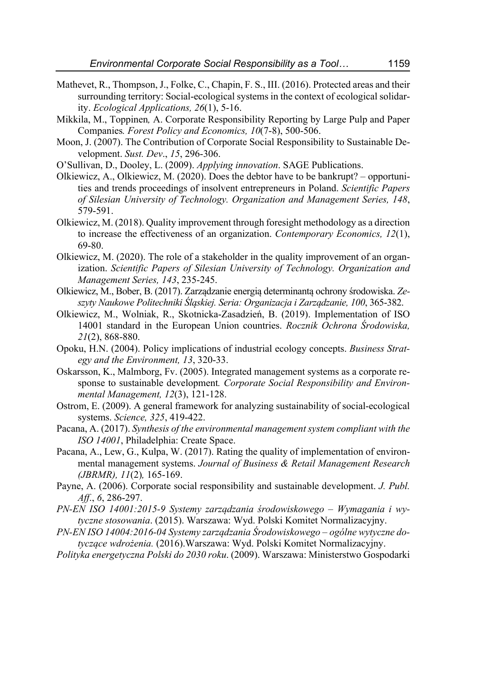- Mathevet, R., Thompson, J., Folke, C., Chapin, F. S., III. (2016). Protected areas and their surrounding territory: Social-ecological systems in the context of ecological solidarity. *Ecological Applications, 26*(1), 5-16.
- Mikkila, M., Toppinen*,* A. Corporate Responsibility Reporting by Large Pulp and Paper Companies*. Forest Policy and Economics, 10*(7-8), 500-506.
- Moon, J. (2007). The Contribution of Corporate Social Responsibility to Sustainable Development. *Sust. Dev*., *15*, 296-306.
- O'Sullivan, D., Dooley, L. (2009). *Applying innovation*. SAGE Publications.
- Olkiewicz, A., Olkiewicz, M. (2020). Does the debtor have to be bankrupt? opportunities and trends proceedings of insolvent entrepreneurs in Poland. *Scientific Papers of Silesian University of Technology. Organization and Management Series, 148*, 579-591.
- Olkiewicz, M. (2018). Quality improvement through foresight methodology as a direction to increase the effectiveness of an organization. *Contemporary Economics, 12*(1), 69-80.
- Olkiewicz, M. (2020). The role of a stakeholder in the quality improvement of an organization. *Scientific Papers of Silesian University of Technology. Organization and Management Series, 143*, 235-245.
- Olkiewicz, M., Bober, B. (2017). Zarządzanie energią determinantą ochrony środowiska. *Zeszyty Naukowe Politechniki Śląskiej. Seria: Organizacja i Zarządzanie, 100*, 365-382.
- Olkiewicz, M., Wolniak, R., Skotnicka-Zasadzień, B. (2019). Implementation of ISO 14001 standard in the European Union countries. *Rocznik Ochrona Środowiska, 21*(2), 868-880.
- Opoku, H.N. (2004). Policy implications of industrial ecology concepts. *Business Strategy and the Environment, 13*, 320-33.
- Oskarsson, K., Malmborg, Fv. (2005). Integrated management systems as a corporate response to sustainable development*. Corporate Social Responsibility and Environmental Management, 12*(3), 121-128.
- Ostrom, E. (2009). A general framework for analyzing sustainability of social-ecological systems. *Science, 325*, 419-422.
- Pacana, A. (2017). *Synthesis of the environmental management system compliant with the ISO 14001*, Philadelphia: Create Space.
- Pacana, A., Lew, G., Kulpa, W. (2017). Rating the quality of implementation of environmental management systems. *Journal of Business & Retail Management Research (JBRMR), 11*(2)*,* 165-169.
- Payne, A. (2006). Corporate social responsibility and sustainable development. *J. Publ. Aff*., *6*, 286-297.
- *PN-EN ISO 14001:2015-9 Systemy zarządzania środowiskowego Wymagania i wytyczne stosowania*. (2015). Warszawa: Wyd. Polski Komitet Normalizacyjny.
- *PN-EN ISO 14004:2016-04 Systemy zarządzania Środowiskowego ogólne wytyczne dotyczące wdrożenia.* (2016).Warszawa: Wyd. Polski Komitet Normalizacyjny.
- *Polityka energetyczna Polski do 2030 roku*. (2009). Warszawa: Ministerstwo Gospodarki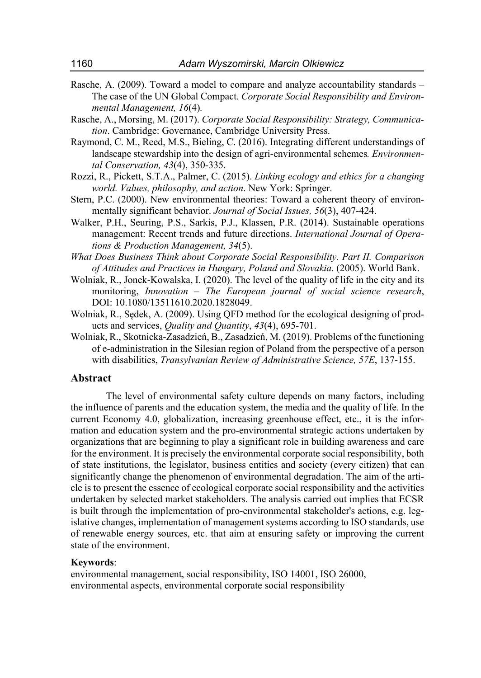- Rasche, A. (2009). Toward a model to compare and analyze accountability standards The case of the UN Global Compact*. Corporate Social Responsibility and Environmental Management, 16*(4)*.*
- Rasche, A., Morsing, M. (2017). *Corporate Social Responsibility: Strategy, Communication*. Cambridge: Governance, Cambridge University Press.
- Raymond, C. M., Reed, M.S., Bieling, C. (2016). Integrating different understandings of landscape stewardship into the design of agri-environmental schemes*. Environmental Conservation, 43*(4), 350-335.
- Rozzi, R., Pickett, S.T.A., Palmer, C. (2015). *Linking ecology and ethics for a changing world. Values, philosophy, and action*. New York: Springer.
- Stern, P.C. (2000). New environmental theories: Toward a coherent theory of environmentally significant behavior. *Journal of Social Issues, 56*(3), 407-424.
- Walker, P.H., Seuring, P.S., Sarkis, P.J., Klassen, P.R. (2014). Sustainable operations management: Recent trends and future directions. *International Journal of Operations & Production Management, 34*(5).
- *What Does Business Think about Corporate Social Responsibility. Part II. Comparison of Attitudes and Practices in Hungary, Poland and Slovakia.* (2005). World Bank.
- Wolniak, R., Jonek-Kowalska, I. (2020). The level of the quality of life in the city and its monitoring, *Innovation – The European journal of social science research*, DOI: 10.1080/13511610.2020.1828049.
- Wolniak, R., Sędek, A. (2009). Using QFD method for the ecological designing of products and services, *Quality and Quantity*, *43*(4), 695-701.
- Wolniak, R., Skotnicka-Zasadzień, B., Zasadzień, M. (2019). Problems of the functioning of e-administration in the Silesian region of Poland from the perspective of a person with disabilities, *Transylvanian Review of Administrative Science, 57E*, 137-155.

#### **Abstract**

The level of environmental safety culture depends on many factors, including the influence of parents and the education system, the media and the quality of life. In the current Economy 4.0, globalization, increasing greenhouse effect, etc., it is the information and education system and the pro-environmental strategic actions undertaken by organizations that are beginning to play a significant role in building awareness and care for the environment. It is precisely the environmental corporate social responsibility, both of state institutions, the legislator, business entities and society (every citizen) that can significantly change the phenomenon of environmental degradation. The aim of the article is to present the essence of ecological corporate social responsibility and the activities undertaken by selected market stakeholders. The analysis carried out implies that ECSR is built through the implementation of pro-environmental stakeholder's actions, e.g. legislative changes, implementation of management systems according to ISO standards, use of renewable energy sources, etc. that aim at ensuring safety or improving the current state of the environment.

#### **Keywords**:

environmental management, social responsibility, ISO 14001, ISO 26000, environmental aspects, environmental corporate social responsibility